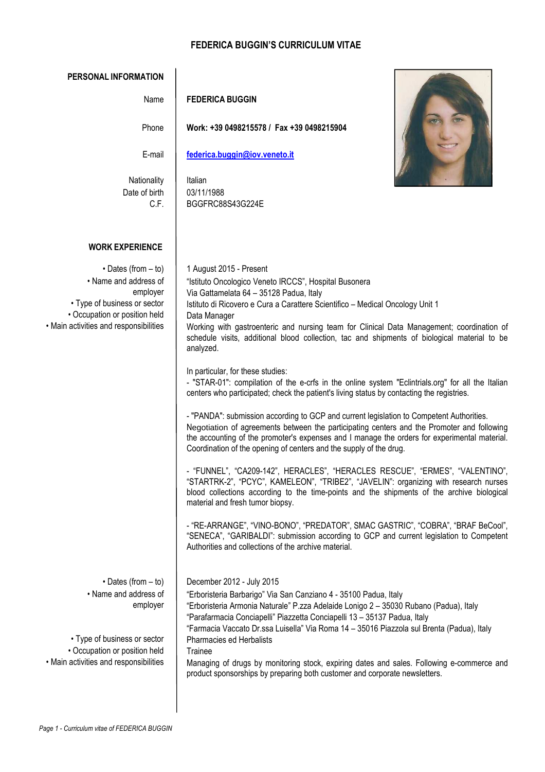## **FEDERICA BUGGIN'S CURRICULUM VITAE**

| <b>PERSONAL INFORMATION</b>                                                                                                                                                 |                                                                                                                                                                                                                                                                                                                                                                                                                                                                                                                                                                                                                                                                                                                                                                                                                                                                                                                                                                                                                                                                                                                                                                                                                                                                                                                                                                                                                                                                                                                                                                                             |
|-----------------------------------------------------------------------------------------------------------------------------------------------------------------------------|---------------------------------------------------------------------------------------------------------------------------------------------------------------------------------------------------------------------------------------------------------------------------------------------------------------------------------------------------------------------------------------------------------------------------------------------------------------------------------------------------------------------------------------------------------------------------------------------------------------------------------------------------------------------------------------------------------------------------------------------------------------------------------------------------------------------------------------------------------------------------------------------------------------------------------------------------------------------------------------------------------------------------------------------------------------------------------------------------------------------------------------------------------------------------------------------------------------------------------------------------------------------------------------------------------------------------------------------------------------------------------------------------------------------------------------------------------------------------------------------------------------------------------------------------------------------------------------------|
| Name                                                                                                                                                                        | <b>FEDERICA BUGGIN</b>                                                                                                                                                                                                                                                                                                                                                                                                                                                                                                                                                                                                                                                                                                                                                                                                                                                                                                                                                                                                                                                                                                                                                                                                                                                                                                                                                                                                                                                                                                                                                                      |
| Phone                                                                                                                                                                       | Work: +39 0498215578 / Fax +39 0498215904                                                                                                                                                                                                                                                                                                                                                                                                                                                                                                                                                                                                                                                                                                                                                                                                                                                                                                                                                                                                                                                                                                                                                                                                                                                                                                                                                                                                                                                                                                                                                   |
| E-mail                                                                                                                                                                      | federica.buggin@iov.veneto.it                                                                                                                                                                                                                                                                                                                                                                                                                                                                                                                                                                                                                                                                                                                                                                                                                                                                                                                                                                                                                                                                                                                                                                                                                                                                                                                                                                                                                                                                                                                                                               |
| Nationality<br>Date of birth<br>C.F.                                                                                                                                        | Italian<br>03/11/1988<br>BGGFRC88S43G224E                                                                                                                                                                                                                                                                                                                                                                                                                                                                                                                                                                                                                                                                                                                                                                                                                                                                                                                                                                                                                                                                                                                                                                                                                                                                                                                                                                                                                                                                                                                                                   |
| <b>WORK EXPERIENCE</b>                                                                                                                                                      |                                                                                                                                                                                                                                                                                                                                                                                                                                                                                                                                                                                                                                                                                                                                                                                                                                                                                                                                                                                                                                                                                                                                                                                                                                                                                                                                                                                                                                                                                                                                                                                             |
| $\cdot$ Dates (from $-$ to)<br>• Name and address of<br>employer<br>• Type of business or sector<br>• Occupation or position held<br>• Main activities and responsibilities | 1 August 2015 - Present<br>"Istituto Oncologico Veneto IRCCS", Hospital Busonera<br>Via Gattamelata 64 - 35128 Padua, Italy<br>Istituto di Ricovero e Cura a Carattere Scientifico - Medical Oncology Unit 1<br>Data Manager<br>Working with gastroenteric and nursing team for Clinical Data Management; coordination of<br>schedule visits, additional blood collection, tac and shipments of biological material to be<br>analyzed.<br>In particular, for these studies:<br>- "STAR-01": compilation of the e-crfs in the online system "Eclintrials.org" for all the Italian<br>centers who participated; check the patient's living status by contacting the registries.<br>- "PANDA": submission according to GCP and current legislation to Competent Authorities.<br>Negotiation of agreements between the participating centers and the Promoter and following<br>the accounting of the promoter's expenses and I manage the orders for experimental material.<br>Coordination of the opening of centers and the supply of the drug.<br>"FUNNEL", "CA209-142", HERACLES", "HERACLES RESCUE", "ERMES", "VALENTINO",<br>"STARTRK-2", "PCYC", KAMELEON", "TRIBE2", "JAVELIN": organizing with research nurses<br>blood collections according to the time-points and the shipments of the archive biological<br>material and fresh tumor biopsy.<br>- "RE-ARRANGE", "VINO-BONO", "PREDATOR", SMAC GASTRIC", "COBRA", "BRAF BeCool",<br>"SENECA", "GARIBALDI": submission according to GCP and current legislation to Competent<br>Authorities and collections of the archive material. |
| $\cdot$ Dates (from $-$ to)<br>• Name and address of<br>employer<br>• Type of business or sector<br>• Occupation or position held<br>• Main activities and responsibilities | December 2012 - July 2015<br>"Erboristeria Barbarigo" Via San Canziano 4 - 35100 Padua, Italy<br>"Erboristeria Armonia Naturale" P.zza Adelaide Lonigo 2 - 35030 Rubano (Padua), Italy<br>"Parafarmacia Conciapelli" Piazzetta Conciapelli 13 - 35137 Padua, Italy<br>"Farmacia Vaccato Dr.ssa Luisella" Via Roma 14 - 35016 Piazzola sul Brenta (Padua), Italy<br><b>Pharmacies ed Herbalists</b><br>Trainee<br>Managing of drugs by monitoring stock, expiring dates and sales. Following e-commerce and<br>product sponsorships by preparing both customer and corporate newsletters.                                                                                                                                                                                                                                                                                                                                                                                                                                                                                                                                                                                                                                                                                                                                                                                                                                                                                                                                                                                                    |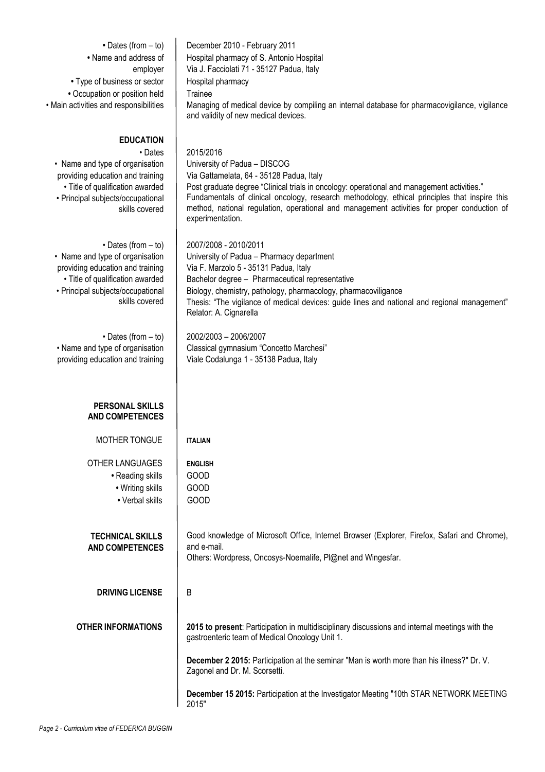| • Dates (from $-$ to)<br>• Name and address of<br>employer<br>• Type of business or sector<br>• Occupation or position held<br>• Main activities and responsibilities                         | December 2010 - February 2011<br>Hospital pharmacy of S. Antonio Hospital<br>Via J. Facciolati 71 - 35127 Padua, Italy<br>Hospital pharmacy<br>Trainee<br>Managing of medical device by compiling an internal database for pharmacovigilance, vigilance<br>and validity of new medical devices.                                                                                                         |
|-----------------------------------------------------------------------------------------------------------------------------------------------------------------------------------------------|---------------------------------------------------------------------------------------------------------------------------------------------------------------------------------------------------------------------------------------------------------------------------------------------------------------------------------------------------------------------------------------------------------|
| <b>EDUCATION</b><br>• Dates<br>• Name and type of organisation<br>providing education and training<br>· Title of qualification awarded<br>• Principal subjects/occupational<br>skills covered | 2015/2016<br>University of Padua - DISCOG<br>Via Gattamelata, 64 - 35128 Padua, Italy<br>Post graduate degree "Clinical trials in oncology: operational and management activities."<br>Fundamentals of clinical oncology, research methodology, ethical principles that inspire this<br>method, national regulation, operational and management activities for proper conduction of<br>experimentation. |
| • Dates (from $-$ to)<br>• Name and type of organisation<br>providing education and training<br>· Title of qualification awarded<br>• Principal subjects/occupational<br>skills covered       | 2007/2008 - 2010/2011<br>University of Padua - Pharmacy department<br>Via F. Marzolo 5 - 35131 Padua, Italy<br>Bachelor degree - Pharmaceutical representative<br>Biology, chemistry, pathology, pharmacology, pharmacoviligance<br>Thesis: "The vigilance of medical devices: guide lines and national and regional management"<br>Relator: A. Cignarella                                              |
| $\cdot$ Dates (from $-$ to)<br>• Name and type of organisation<br>providing education and training                                                                                            | 2002/2003 - 2006/2007<br>Classical gymnasium "Concetto Marchesi"<br>Viale Codalunga 1 - 35138 Padua, Italy                                                                                                                                                                                                                                                                                              |
| <b>PERSONAL SKILLS</b><br><b>AND COMPETENCES</b>                                                                                                                                              |                                                                                                                                                                                                                                                                                                                                                                                                         |
| MOTHER TONGUE                                                                                                                                                                                 | <b>ITALIAN</b>                                                                                                                                                                                                                                                                                                                                                                                          |
| <b>OTHER LANGUAGES</b><br>• Reading skills<br>• Writing skills<br>• Verbal skills                                                                                                             | <b>ENGLISH</b><br><b>GOOD</b><br><b>GOOD</b><br><b>GOOD</b>                                                                                                                                                                                                                                                                                                                                             |
| <b>TECHNICAL SKILLS</b><br><b>AND COMPETENCES</b>                                                                                                                                             | Good knowledge of Microsoft Office, Internet Browser (Explorer, Firefox, Safari and Chrome),<br>and e-mail.<br>Others: Wordpress, Oncosys-Noemalife, Pl@net and Wingesfar.                                                                                                                                                                                                                              |
| <b>DRIVING LICENSE</b>                                                                                                                                                                        | В                                                                                                                                                                                                                                                                                                                                                                                                       |
| <b>OTHER INFORMATIONS</b>                                                                                                                                                                     | 2015 to present: Participation in multidisciplinary discussions and internal meetings with the<br>gastroenteric team of Medical Oncology Unit 1.                                                                                                                                                                                                                                                        |
|                                                                                                                                                                                               | December 2 2015: Participation at the seminar "Man is worth more than his illness?" Dr. V.<br>Zagonel and Dr. M. Scorsetti.                                                                                                                                                                                                                                                                             |
|                                                                                                                                                                                               | December 15 2015: Participation at the Investigator Meeting "10th STAR NETWORK MEETING<br>2015"                                                                                                                                                                                                                                                                                                         |